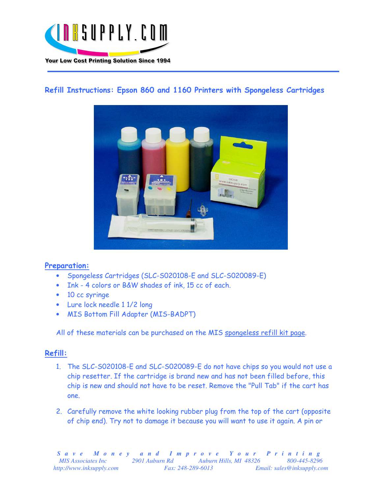

## Refill Instructions: Epson 860 and 1160 Printers with Spongeless Cartridges



## Preparation:

- Spongeless Cartridges (SLC-S020108-E and SLC-S020089-E)
- Ink 4 colors or B&W shades of ink, 15 cc of each.
- 10 cc syringe
- Lure lock needle 1 1/2 long
- MIS Bottom Fill Adapter (MIS-BADPT)

All of these materials can be purchased on the MIS spongeless refill kit page.

## Refill:

- 1. The SLC-S020108-E and SLC-S020089-E do not have chips so you would not use a chip resetter. If the cartridge is brand new and has not been filled before, this chip is new and should not have to be reset. Remove the "Pull Tab" if the cart has one.
- 2. Carefully remove the white looking rubber plug from the top of the cart (opposite of chip end). Try not to damage it because you will want to use it again. A pin or